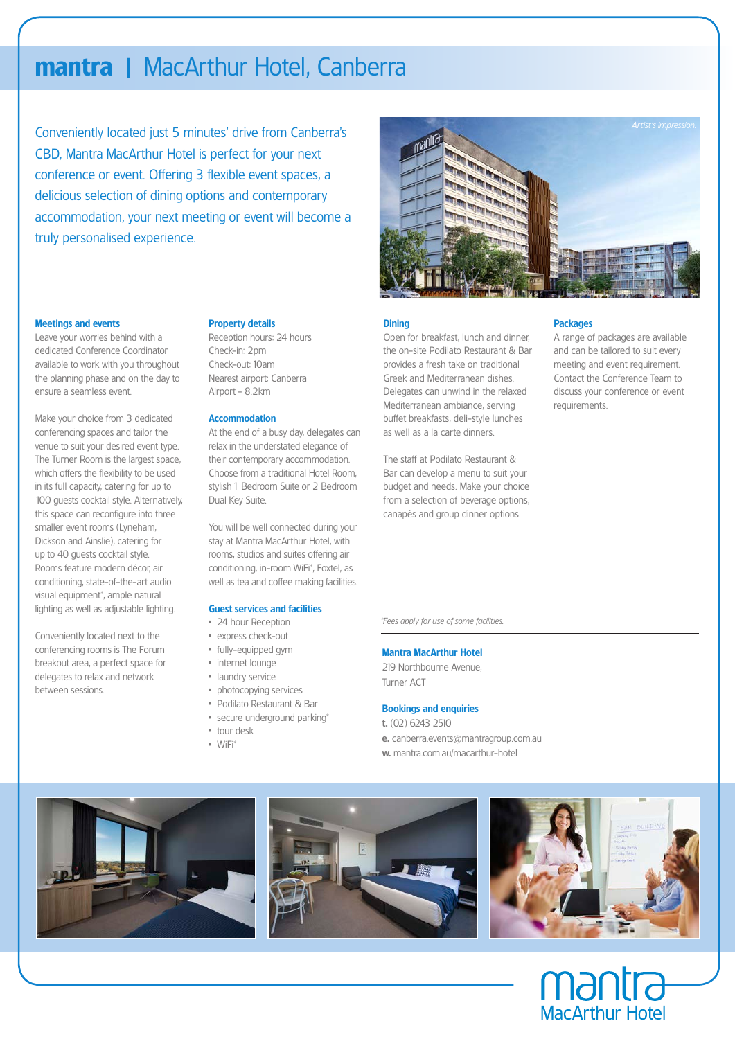## **mantra** lMacArthur Hotel, Canberra

Conveniently located just 5 minutes' drive from Canberra's CBD, Mantra MacArthur Hotel is perfect for your next conference or event. Offering 3 flexible event spaces, a delicious selection of dining options and contemporary accommodation, your next meeting or event will become a truly personalised experience.



#### Meetings and events

Leave your worries behind with a dedicated Conference Coordinator available to work with you throughout the planning phase and on the day to ensure a seamless event.

Make your choice from 3 dedicated conferencing spaces and tailor the venue to suit your desired event type. The Turner Room is the largest space, which offers the flexibility to be used in its full capacity, catering for up to 100 guests cocktail style. Alternatively, this space can reconfigure into three smaller event rooms (Lyneham, Dickson and Ainslie), catering for up to 40 guests cocktail style. Rooms feature modern décor, air conditioning, state-of-the-art audio visual equipment\*, ample natural lighting as well as adjustable lighting.

Conveniently located next to the conferencing rooms is The Forum breakout area, a perfect space for delegates to relax and network between sessions.

#### Property details

Reception hours: 24 hours Check-in: 2pm Check-out: 10am Nearest airport: Canberra Airport - 8.2km

#### **Accommodation**

At the end of a busy day, delegates can relax in the understated elegance of their contemporary accommodation. Choose from a traditional Hotel Room, stylish 1 Bedroom Suite or 2 Bedroom Dual Key Suite.

You will be well connected during your stay at Mantra MacArthur Hotel, with rooms, studios and suites offering air conditioning, in-room WiFi\*, Foxtel, as well as tea and coffee making facilities.

## Guest services and facilities

- 24 hour Reception
- express check-out
- fully-equipped gym
- internet lounge
- laundry service
- photocopying services
- Podilato Restaurant & Bar
- secure underground parking\* • tour desk
- WiFi\*

**Dining** 

the on-site Podilato Restaurant & Bar provides a fresh take on traditional Greek and Mediterranean dishes. Delegates can unwind in the relaxed Mediterranean ambiance, serving buffet breakfasts, deli-style lunches as well as a la carte dinners.

Open for breakfast, lunch and dinner,

The staff at Podilato Restaurant & Bar can develop a menu to suit your budget and needs. Make your choice from a selection of beverage options, canapés and group dinner options.

#### **Packages**

A range of packages are available and can be tailored to suit every meeting and event requirement. Contact the Conference Team to discuss your conference or event requirements.

*\*Fees apply for use of some facilities.*

#### Mantra MacArthur Hotel

219 Northbourne Avenue, Turner ACT

#### Bookings and enquiries

- t. (02) 6243 2510
- e. canberra.events@mantragroup.com.au w. mantra.com.au/macarthur-hotel
-